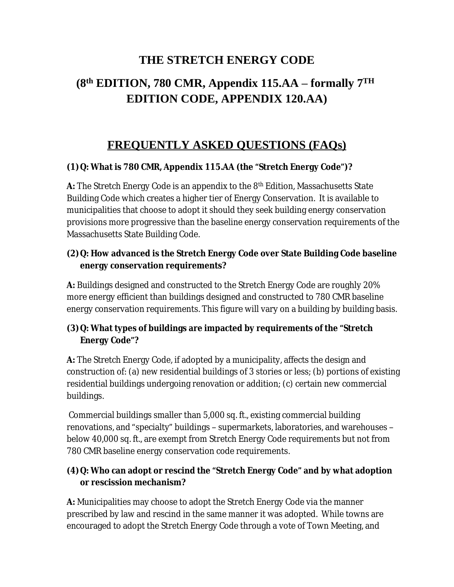# **THE STRETCH ENERGY CODE**

# **(8 th EDITION, 780 CMR, Appendix 115.AA – formally 7 TH EDITION CODE, APPENDIX 120.AA)**

# **FREQUENTLY ASKED QUESTIONS (FAQs)**

#### **(1)Q: What is 780 CMR, Appendix 115.AA (the "Stretch Energy Code")?**

**A:** The Stretch Energy Code is an appendix to the 8<sup>th</sup> Edition, Massachusetts State Building Code which creates a higher tier of Energy Conservation. It is available to municipalities that choose to adopt it should they seek building energy conservation provisions more progressive than the baseline energy conservation requirements of the Massachusetts State Building Code.

#### **(2)Q: How advanced is the Stretch Energy Code over State Building Code baseline energy conservation requirements?**

**A:** Buildings designed and constructed to the Stretch Energy Code are roughly 20% more energy efficient than buildings designed and constructed to 780 CMR baseline energy conservation requirements. This figure will vary on a building by building basis.

### **(3)Q: What types of buildings are impacted by requirements of the "Stretch Energy Code"?**

**A:** The Stretch Energy Code, if adopted by a municipality, affects the design and construction of: (a) new residential buildings of 3 stories or less; (b) portions of existing residential buildings undergoing renovation or addition; (c) certain new commercial buildings.

 Commercial buildings smaller than 5,000 sq. ft., existing commercial building renovations, and "specialty" buildings – supermarkets, laboratories, and warehouses – below 40,000 sq. ft., are exempt from Stretch Energy Code requirements but not from 780 CMR baseline energy conservation code requirements.

### **(4)Q: Who can adopt or rescind the "Stretch Energy Code" and by what adoption or rescission mechanism?**

**A:** Municipalities may choose to adopt the Stretch Energy Code via the manner prescribed by law and rescind in the same manner it was adopted. While towns are encouraged to adopt the Stretch Energy Code through a vote of Town Meeting, and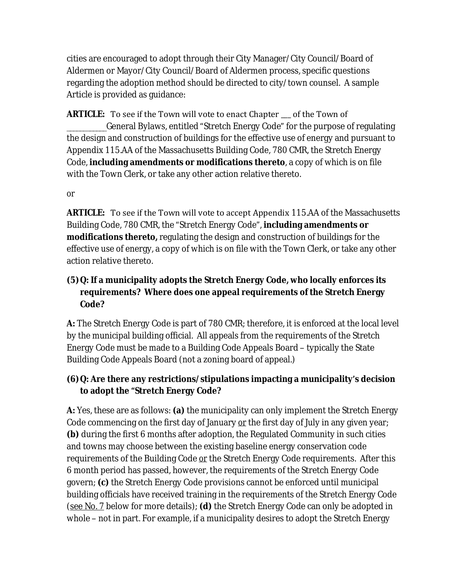cities are encouraged to adopt through their City Manager/City Council/Board of Aldermen or Mayor/City Council/Board of Aldermen process, specific questions regarding the adoption method should be directed to city/town counsel. A sample Article is provided as guidance:

**ARTICLE:** To see if the Town will vote to enact Chapter of the Town of \_\_\_\_\_\_\_\_\_\_\_\_General Bylaws, entitled "Stretch Energy Code" for the purpose of regulating the design and construction of buildings for the effective use of energy and pursuant to Appendix 115.AA of the Massachusetts Building Code, 780 CMR, the Stretch Energy Code, **including amendments or modifications thereto**, a copy of which is on file with the Town Clerk, or take any other action relative thereto.

#### *or*

**ARTICLE:** To see if the Town will vote to accept Appendix 115.AA of the Massachusetts Building Code, 780 CMR, the "Stretch Energy Code", **including amendments or modifications thereto,** regulating the design and construction of buildings for the effective use of energy, a copy of which is on file with the Town Clerk, or take any other action relative thereto.

### **(5)Q: If a municipality adopts the Stretch Energy Code, who locally enforces its requirements? Where does one appeal requirements of the Stretch Energy Code?**

**A:** The Stretch Energy Code is part of 780 CMR; therefore, it is enforced at the local level by the municipal building official. All appeals from the requirements of the Stretch Energy Code must be made to a Building Code Appeals Board – typically the State Building Code Appeals Board (not a zoning board of appeal.)

### **(6)Q: Are there any restrictions/stipulations impacting a municipality's decision to adopt the "Stretch Energy Code?**

**A:** Yes, these are as follows: **(a)** the municipality can only implement the Stretch Energy Code commencing on the first day of January *or* the first day of July in any given year; **(b)** during the first 6 months after adoption, the Regulated Community in such cities and towns may choose between the existing baseline energy conservation code requirements of the Building Code *or* the Stretch Energy Code requirements. After this 6 month period has passed, however, the requirements of the Stretch Energy Code govern; **(c)** the Stretch Energy Code provisions cannot be enforced until municipal building officials have received training in the requirements of the Stretch Energy Code (see No. 7 below for more details); **(d)** the Stretch Energy Code can only be adopted in whole – not in part. For example, if a municipality desires to adopt the Stretch Energy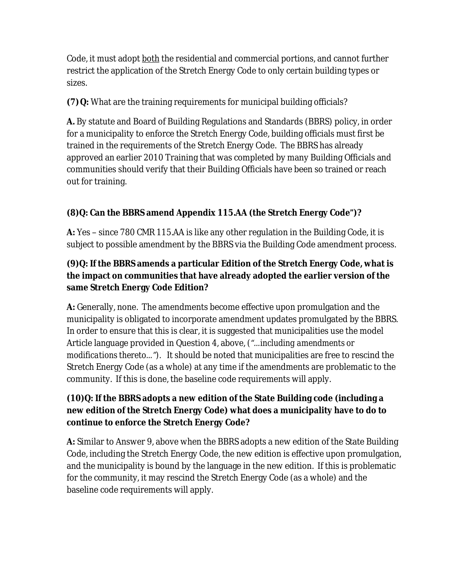Code, it must adopt both the residential and commercial portions, and cannot further restrict the application of the Stretch Energy Code to only certain building types or sizes.

**(7)Q:** What are the training requirements for municipal building officials?

**A.** By statute and Board of Building Regulations and Standards (BBRS) policy, in order for a municipality to enforce the Stretch Energy Code, building officials must first be trained in the requirements of the Stretch Energy Code. The BBRS has already approved an earlier 2010 Training that was completed by many Building Officials and communities should verify that their Building Officials have been so trained or reach out for training.

## **(8)Q: Can the BBRS amend Appendix 115.AA (the Stretch Energy Code")?**

**A:** Yes – since 780 CMR 115.AA is like any other regulation in the Building Code, it is subject to possible amendment by the BBRS via the Building Code amendment process.

### **(9)Q: If the BBRS amends a particular Edition of the Stretch Energy Code, what is the impact on communities that have already adopted the earlier version of the same Stretch Energy Code Edition?**

**A:** Generally, none. The amendments become effective upon promulgation and the municipality is obligated to incorporate amendment updates promulgated by the BBRS. In order to ensure that this is clear, it is suggested that municipalities use the model Article language provided in Question 4, above, *("…including amendments or modifications thereto…").* It should be noted that municipalities are free to rescind the Stretch Energy Code (as a whole) at any time if the amendments are problematic to the community. If this is done, the baseline code requirements will apply.

### **(10)Q: If the BBRS adopts a new edition of the State Building code (including a new edition of the Stretch Energy Code) what does a municipality have to do to continue to enforce the Stretch Energy Code?**

**A:** Similar to Answer 9, above when the BBRS adopts a new edition of the State Building Code, including the Stretch Energy Code, the new edition is effective upon promulgation, and the municipality is bound by the language in the new edition. If this is problematic for the community, it may rescind the Stretch Energy Code (as a whole) and the baseline code requirements will apply.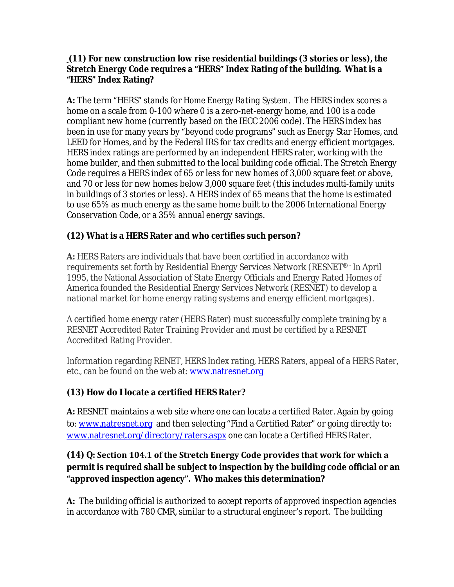#### **(11) For new construction low rise residential buildings (3 stories or less), the Stretch Energy Code requires a "HERS" Index Rating of the building. What is a "HERS" Index Rating?**

**A:** The term "HERS" stands for *Home Energy Rating System*. The HERS index scores a home on a scale from 0-100 where 0 is a zero-net-energy home, and 100 is a code compliant new home (currently based on the IECC 2006 code). The HERS index has been in use for many years by "beyond code programs" such as Energy Star Homes, and LEED for Homes, and by the Federal IRS for tax credits and energy efficient mortgages. HERS index ratings are performed by an independent HERS rater, working with the home builder, and then submitted to the local building code official. The Stretch Energy Code requires a HERS index of 65 or less for new homes of 3,000 square feet or above, and 70 or less for new homes below 3,000 square feet (this includes multi-family units in buildings of 3 stories or less). A HERS index of 65 means that the home is estimated to use 65% as much energy as the same home built to the 2006 International Energy Conservation Code, or a 35% annual energy savings.

### **(12) What is a HERS Rater and who certifies such person?**

**A:** HERS Raters are individuals that have been certified in accordance with requirements set forth by Residential Energy Services Network (RESNET® - In April 1995, the National Association of State Energy Officials and Energy Rated Homes of America founded the Residential Energy Services Network (RESNET) to develop a national market for home energy rating systems and energy efficient mortgages).

A certified home energy rater (HERS Rater) must successfully complete training by a RESNET Accredited Rater Training Provider and must be certified by a RESNET Accredited Rating Provider.

Information regarding RENET, HERS Index rating, HERS Raters, appeal of a HERS Rater, etc., can be found on the web at: [www.natresnet.org](http://www.natresnet.org)

### **(13) How do I locate a certified HERS Rater?**

**A:** RESNET maintains a web site where one can locate a certified Rater. Again by going to: [www.natresnet.org](http://www.natresnet.org) and then selecting "Find a Certified Rater" or going directly to: [www.natresnet.org/directory/raters.aspx](http://www.natresnet.org/directory/raters.aspx) one can locate a Certified HERS Rater.

### **(14) Q: Section 104.1 of the Stretch Energy Code provides that work for which a permit is required shall be subject to inspection by the building code official or an "approved inspection agency". Who makes this determination?**

**A:** The building official is authorized to accept reports of approved inspection agencies in accordance with 780 CMR, similar to a structural engineer's report. The building